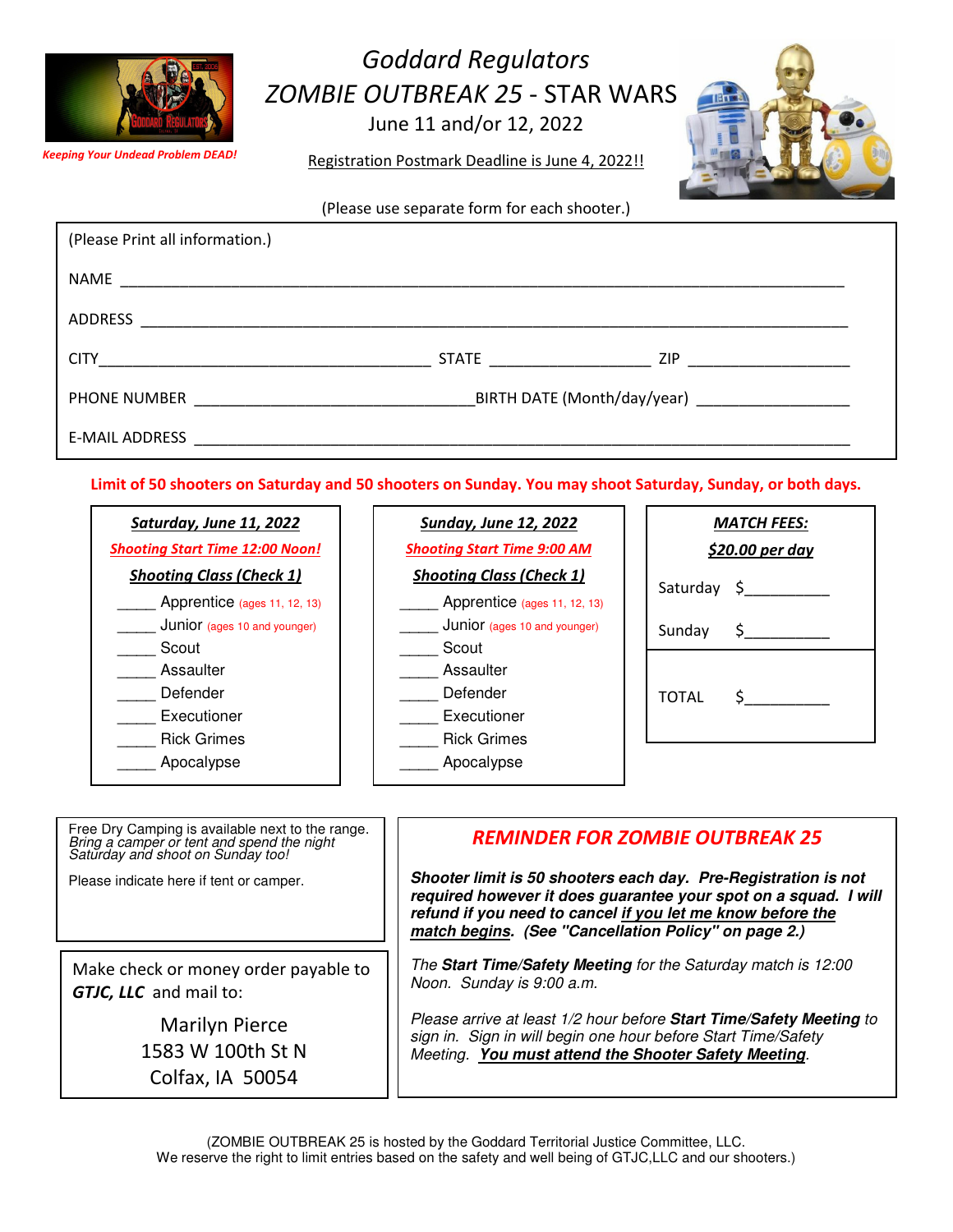

## Goddard Regulators ZOMBIE OUTBREAK 25 - STAR WARS!

June 11 and/or 12, 2022

Registration Postmark Deadline is June 4, 2022!!

(Please use separate form for each shooter.)

| (Please Print all information.)                         |                                                |           |
|---------------------------------------------------------|------------------------------------------------|-----------|
|                                                         |                                                |           |
| ADDRESS                                                 |                                                |           |
|                                                         |                                                | STATE ZIP |
| PHONE NUMBER <b>And All Phone Advisors PHONE NUMBER</b> | BIRTH DATE (Month/day/year) __________________ |           |
|                                                         |                                                |           |

Limit of 50 shooters on Saturday and 50 shooters on Sunday. You may shoot Saturday, Sunday, or both days.

| Saturday, June 11, 2022                | <b>Sunday, June 12, 2022</b>       | <b>MATCH FEES:</b>          |
|----------------------------------------|------------------------------------|-----------------------------|
| <b>Shooting Start Time 12:00 Noon!</b> | <b>Shooting Start Time 9:00 AM</b> | <u>\$20.00 per day</u>      |
| <b>Shooting Class (Check 1)</b>        | <b>Shooting Class (Check 1)</b>    | $S \qquad \qquad$           |
| Apprentice (ages 11, 12, 13)           | Apprentice (ages 11, 12, 13)       | Saturday                    |
| Junior (ages 10 and younger)           | Junior (ages 10 and younger)       | $\mathsf{S}$ .<br>Sunday    |
| Scout                                  | Scout                              |                             |
| Assaulter                              | Assaulter                          |                             |
| Defender                               | Defender                           | <b>TOTAL</b><br>$S_{\perp}$ |
| Executioner                            | Executioner                        |                             |
| <b>Rick Grimes</b>                     | <b>Rick Grimes</b>                 |                             |
| Apocalypse                             | Apocalypse                         |                             |
|                                        |                                    |                             |

| Free Dry Camping is available next to the range.<br>Bring a camper or tent and spend the night<br>Saturday and shoot on Sunday too! | <b>REMINDER FOR ZOMBIE OUTBREAK 25</b>                                                                                                                                                                                                                  |
|-------------------------------------------------------------------------------------------------------------------------------------|---------------------------------------------------------------------------------------------------------------------------------------------------------------------------------------------------------------------------------------------------------|
| Please indicate here if tent or camper.                                                                                             | Shooter limit is 50 shooters each day. Pre-Registration is not<br>required however it does guarantee your spot on a squad. I will<br>refund if you need to cancel if you let me know before the<br>match begins. (See "Cancellation Policy" on page 2.) |
| Make check or money order payable to                                                                                                | The Start Time/Safety Meeting for the Saturday match is 12:00                                                                                                                                                                                           |
| GTJC, LLC and mail to:                                                                                                              | Noon. Sunday is 9:00 a.m.                                                                                                                                                                                                                               |
| <b>Marilyn Pierce</b>                                                                                                               | Please arrive at least 1/2 hour before Start Time/Safety Meeting to                                                                                                                                                                                     |
| 1583 W 100th St N                                                                                                                   | sign in. Sign in will begin one hour before Start Time/Safety                                                                                                                                                                                           |
| Colfax, IA 50054                                                                                                                    | Meeting. You must attend the Shooter Safety Meeting.                                                                                                                                                                                                    |